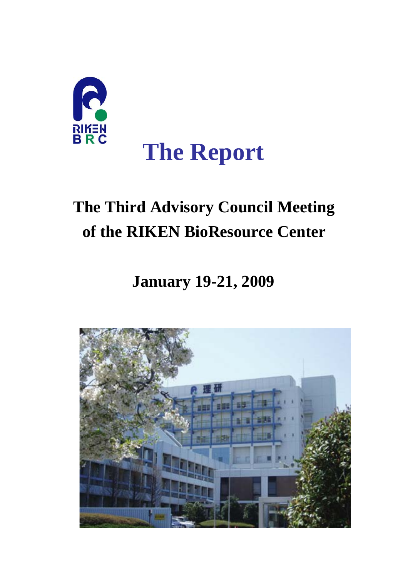

# **The Third Advisory Council Meeting of the RIKEN BioResource Center**

# **January 19-21, 2009**

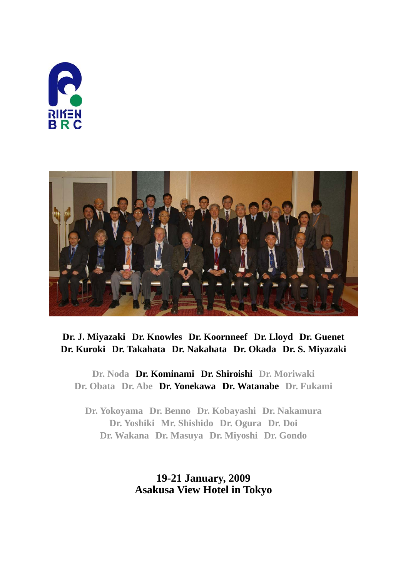



# **Dr. J. Miyazaki Dr. Knowles Dr. Koornneef Dr. Lloyd Dr. Guenet Dr. Kuroki Dr. Takahata Dr. Nakahata Dr. Okada Dr. S. Miyazaki**

**Dr. Noda Dr. Kominami Dr. Shiroishi Dr. Moriwaki Dr. Obata Dr. Abe Dr. Yonekawa Dr. Watanabe Dr. Fukami**

**Dr. Yokoyama Dr. Benno Dr. Kobayashi Dr. Nakamura Dr. Yoshiki Mr. Shishido Dr. Ogura Dr. Doi Dr. Wakana Dr. Masuya Dr. Miyoshi Dr. Gondo**

> **19-21 January, 2009 Asakusa View Hotel in Tokyo**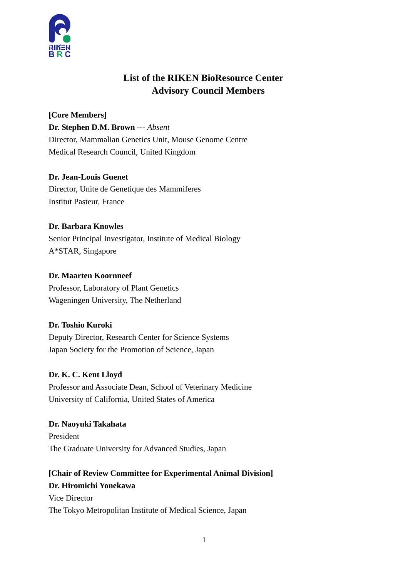

# **List of the RIKEN BioResource Center Advisory Council Members**

**[Core Members] Dr. Stephen D.M. Brown** *--- Absent* Director, Mammalian Genetics Unit, Mouse Genome Centre Medical Research Council, United Kingdom

# **Dr. Jean-Louis Guenet**

Director, Unite de Genetique des Mammiferes Institut Pasteur, France

## **Dr. Barbara Knowles**

Senior Principal Investigator, Institute of Medical Biology A\*STAR, Singapore

## **Dr. Maarten Koornneef**

Professor, Laboratory of Plant Genetics Wageningen University, The Netherland

# **Dr. Toshio Kuroki**

Deputy Director, Research Center for Science Systems Japan Society for the Promotion of Science, Japan

# **Dr. K. C. Kent Lloyd**

Professor and Associate Dean, School of Veterinary Medicine University of California, United States of America

**Dr. Naoyuki Takahata**  President The Graduate University for Advanced Studies, Japan

# **[Chair of Review Committee for Experimental Animal Division] Dr. Hiromichi Yonekawa**

Vice Director The Tokyo Metropolitan Institute of Medical Science, Japan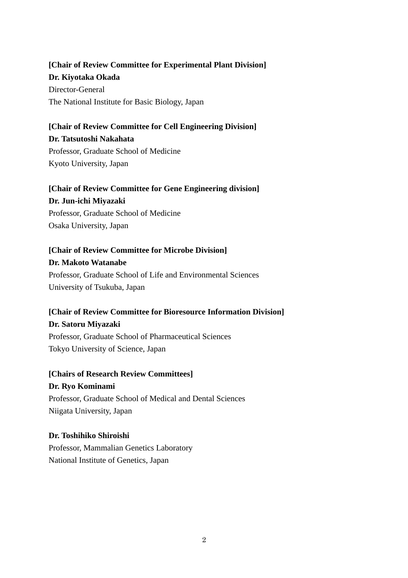# **[Chair of Review Committee for Experimental Plant Division] Dr. Kiyotaka Okada**

Director-General The National Institute for Basic Biology, Japan

# **[Chair of Review Committee for Cell Engineering Division] Dr. Tatsutoshi Nakahata**

Professor, Graduate School of Medicine Kyoto University, Japan

# **[Chair of Review Committee for Gene Engineering division] Dr. Jun-ichi Miyazaki**

Professor, Graduate School of Medicine Osaka University, Japan

# **[Chair of Review Committee for Microbe Division]**

## **Dr. Makoto Watanabe**

Professor, Graduate School of Life and Environmental Sciences University of Tsukuba, Japan

# **[Chair of Review Committee for Bioresource Information Division] Dr. Satoru Miyazaki**  Professor, Graduate School of Pharmaceutical Sciences

Tokyo University of Science, Japan

# **[Chairs of Research Review Committees] Dr. Ryo Kominami**  Professor, Graduate School of Medical and Dental Sciences

Niigata University, Japan

# **Dr. Toshihiko Shiroishi**

Professor, Mammalian Genetics Laboratory National Institute of Genetics, Japan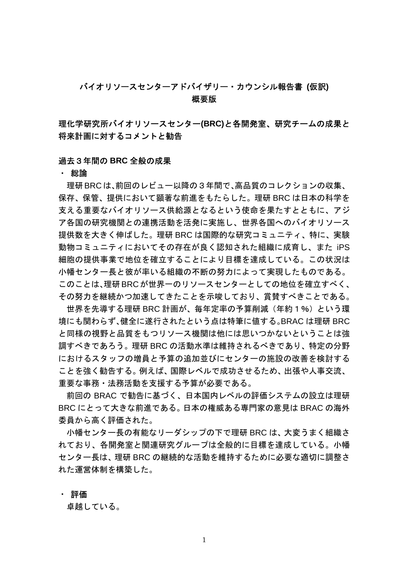# バイオリソースセンターアドバイザリー・カウンシル報告書 **(**仮訳**)**  概要版

理化学研究所バイオリソースセンター**(BRC)**と各開発室、研究チームの成果と 将来計画に対するコメントと勧告

#### 過去3年間の **BRC** 全般の成果

#### ・ 総論

理研BRCは、前回のレビュー以降の3年間で、高品質のコレクションの収集、 保存、保管、提供において顕著な前進をもたらした。理研 BRC は日本の科学を 支える重要なバイオリソース供給源となるという使命を果たすとともに、アジ ア各国の研究機関との連携活動を活発に実施し、世界各国へのバイオリソース 提供数を大きく伸ばした。理研 BRC は国際的な研究コミュニティ、特に、実験 動物コミュニティにおいてその存在が良く認知された組織に成育し、また iPS 細胞の提供事業で地位を確立することにより目標を達成している。この状況は 小幡センター長と彼が率いる組織の不断の努力によって実現したものである。 このことは、理研BRCが世界一のリソースセンターとしての地位を確立すべく、 その努力を継続かつ加速してきたことを示唆しており、賞賛すべきことである。

世界を先導する理研 BRC 計画が、毎年定率の予算削減(年約1%)という環 境にも関わらず、健全に遂行されたという点は特筆に値する。BRAC は理研 BRC と同様の視野と品質をもつリソース機関は他には思いつかないということは強 調すべきであろう。理研 BRC の活動水準は維持されるべきであり、特定の分野 におけるスタッフの増員と予算の追加並びにセンターの施設の改善を検討する ことを強く勧告する。例えば、国際レベルで成功させるため、出張や人事交流、 重要な事務・法務活動を支援する予算が必要である。

前回の BRAC で勧告に基づく、日本国内レベルの評価システムの設立は理研 BRC にとって大きな前進である。日本の権威ある専門家の意見は BRAC の海外 委員から高く評価された。

小幡センター長の有能なリーダシップの下で理研 BRC は、大変うまく組織さ れており、各開発室と関連研究グループは全般的に目標を達成している。小幡 センター長は、理研 BRC の継続的な活動を維持するために必要な適切に調整さ れた運営体制を構築した。

#### ・ 評価

卓越している。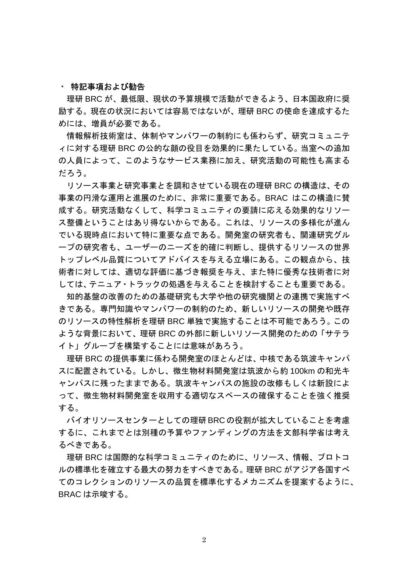#### ・ 特記事項および勧告

理研 BRC が、最低限、現状の予算規模で活動ができるよう、日本国政府に奨 励する。現在の状況においては容易ではないが、理研 BRC の使命を達成するた めには、増員が必要である。

情報解析技術室は、体制やマンパワーの制約にも係わらず、研究コミュニテ ィに対する理研 BRC の公的な顔の役目を効果的に果たしている。当室への追加 の人員によって、このようなサービス業務に加え、研究活動の可能性も高まる だろう。

リソース事業と研究事業とを調和させている現在の理研 BRC の構造は、その 事業の円滑な運用と進展のために、非常に重要である。BRAC はこの構造に賛 成する。研究活動なくして、科学コミュニティの要請に応える効果的なリソー ス整備ということはあり得ないからである。これは、リソースの多様化が進ん でいる現時点において特に重要な点である。開発室の研究者も、関連研究グル ープの研究者も、ユーザーのニーズを的確に判断し、提供するリソースの世界 トップレベル品質についてアドバイスを与える立場にある。この観点から、技 術者に対しては、適切な評価に基づき報奨を与え、また特に優秀な技術者に対 しては、テニュア・トラックの処遇を与えることを検討することも重要である。

知的基盤の改善のための基礎研究も大学や他の研究機関との連携で実施すべ きである。専門知識やマンパワーの制約のため、新しいリソースの開発や既存 のリソースの特性解析を理研 BRC 単独で実施することは不可能であろう。この ような背景において、理研 BRC の外部に新しいリソース開発のための「サテラ イト」グループを構築することには意味があろう。

 理研 BRC の提供事業に係わる開発室のほとんどは、中核である筑波キャンパ スに配置されている。しかし、微生物材料開発室は筑波から約 100km の和光キ ャンパスに残ったままである。筑波キャンパスの施設の改修もしくは新設によ って、微生物材料開発室を収用する適切なスペースの確保することを強く推奨 する。

 バイオリソースセンターとしての理研BRCの役割が拡大していることを考慮 するに、これまでとは別種の予算やファンディングの方法を文部科学省は考え るべきである。

 理研 BRC は国際的な科学コミュニティのために、リソース、情報、プロトコ ルの標準化を確立する最大の努力をすべきである。理研 BRC がアジア各国すべ てのコレクションのリソースの品質を標準化するメカニズムを提案するように、 BRAC は示唆する。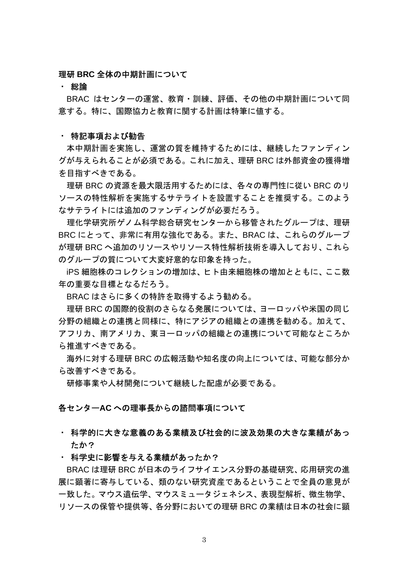#### 理研 **BRC** 全体の中期計画について

#### ・ 総論

BRAC はセンターの運営、教育・訓練、評価、その他の中期計画について同 意する。特に、国際協力と教育に関する計画は特筆に値する。

#### ・ 特記事項および勧告

本中期計画を実施し、運営の質を維持するためには、継続したファンディン グが与えられることが必須である。これに加え、理研 BRC は外部資金の獲得増 を目指すべきである。

 理研 BRC の資源を最大限活用するためには、各々の専門性に従い BRC のリ ソースの特性解析を実施するサテライトを設置することを推奨する。このよう なサテライトには追加のファンディングが必要だろう。

 理化学研究所ゲノム科学総合研究センターから移管されたグループは、理研 BRC にとって、非常に有用な強化である。また、BRAC は、これらのグループ が理研 BRC へ追加のリソースやリソース特性解析技術を導入しており、これら のグループの質について大変好意的な印象を持った。

iPS 細胞株のコレクションの増加は、ヒト由来細胞株の増加とともに、ここ数 年の重要な目標となるだろう。

BRAC はさらに多くの特許を取得するよう勧める。

 理研 BRC の国際的役割のさらなる発展については、ヨーロッパや米国の同じ 分野の組織との連携と同様に、特にアジアの組織との連携を勧める。加えて、 アフリカ、南アメリカ、東ヨーロッパの組織との連携について可能なところか ら推進すべきである。

 海外に対する理研 BRC の広報活動や知名度の向上については、可能な部分か ら改善すべきである。

研修事業や人材開発について継続した配慮が必要である。

#### 各センター**AC** への理事長からの諮問事項について

・ 科学的に大きな意義のある業績及び社会的に波及効果の大きな業績があっ たか?

#### ・ 科学史に影響を与える業績があったか?

BRAC は理研 BRC が日本のライフサイエンス分野の基礎研究、応用研究の進 展に顕著に寄与している、類のない研究資産であるということで全員の意見が 一致した。マウス遺伝学、マウスミュータジェネシス、表現型解析、微生物学、 リソースの保管や提供等、各分野においての理研 BRC の業績は日本の社会に顕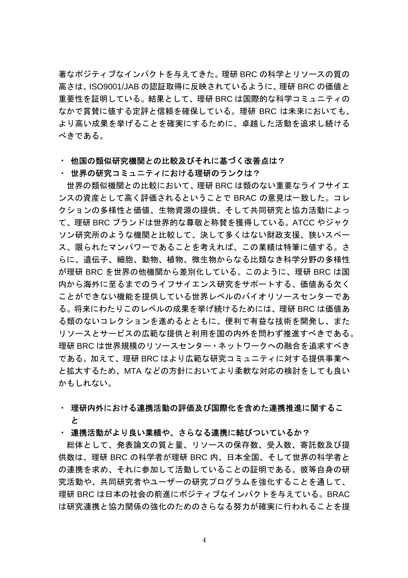著なポジティブなインパクトを与えてきた。理研 BRC の科学とリソースの質の 高さは、ISO9001/JAB の認証取得に反映されているように、理研 BRC の価値と 重要性を証明している。結果として、理研 BRC は国際的な科学コミュニティの なかで賞賛に値する定評と信頼を確保している。理研 BRC は未来においても、 より高い成果を挙げることを確実にするために、卓越した活動を追求し続ける べきである。

#### ・ 他国の類似研究機関との比較及びそれに基づく改善点は?

#### ・ 世界の研究コミュニティにおける理研のランクは?

 世界の類似機関との比較において、理研 BRC は類のない重要なライフサイエ ンスの資産として高く評価されるということで BRAC の意見は一致した。コレ クションの多様性と価値、生物資源の提供、そして共同研究と協力活動によっ て、理研 BRC ブランドは世界的な尊敬と称賛を獲得している。ATCC やジャク ソン研究所のような機関と比較して、決して多くはない財政支援、狭いスペー ス、限られたマンパワーであることを考えれば、この業績は特筆に値する。さ らに、遺伝子、細胞、動物、植物、微生物からなる比類なき科学分野の多様性 が理研 BRC を世界の他機関から差別化している。このように、理研 BRC は国 内から海外に至るまでのライフサイエンス研究をサポートする、価値ある欠く ことができない機能を提供している世界レベルのバイオリソースセンターであ る。将来にわたりこのレベルの成果を挙げ続けるためには、理研 BRC は価値あ る類のないコレクションを進めるとともに、便利で有益な技術を開発し、また リソースとサービスの広範な提供と利用を国の内外を問わず推進すべきである。 理研 BRC は世界規模のリソースセンター・ネットワークへの融合を追求すべき である。加えて、理研 BRC はより広範な研究コミュニティに対する提供事業へ と拡大するため、MTA などの方針においてより柔軟な対応の検討をしても良い かもしれない。

## ・ 理研内外における連携活動の評価及び国際化を含めた連携推進に関するこ と

#### ・ 連携活動がより良い業績や、さらなる連携に結びついているか?

総体として、発表論文の質と量、リソースの保存数、受入数、寄託数及び提 供数は、理研 BRC の科学者が理研 BRC 内、日本全国、そして世界の科学者と の連携を求め、それに参加して活動していることの証明である。彼等自身の研 究活動や、共同研究者やユーザーの研究プログラムを強化することを通して、 理研 BRC は日本の社会の前進にポジティブなインパクトを与えている。BRAC は研究連携と協力関係の強化のためのさらなる努力が確実に行われることを提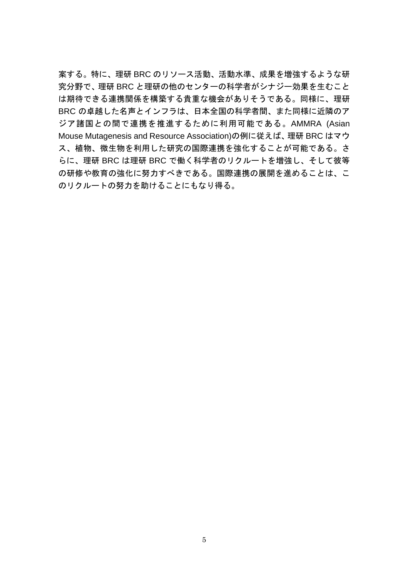案する。特に、理研 BRC のリソース活動、活動水準、成果を増強するような研 究分野で、理研 BRC と理研の他のセンターの科学者がシナジー効果を生むこと は期待できる連携関係を構築する貴重な機会がありそうである。同様に、理研 BRC の卓越した名声とインフラは、日本全国の科学者間、また同様に近隣のア ジア諸国との間で連携を推進するために利用可能である。AMMRA (Asian Mouse Mutagenesis and Resource Association)の例に従えば、理研 BRC はマウ ス、植物、微生物を利用した研究の国際連携を強化することが可能である。さ らに、理研 BRC は理研 BRC で働く科学者のリクルートを増強し、そして彼等 の研修や教育の強化に努力すべきである。国際連携の展開を進めることは、こ のリクルートの努力を助けることにもなり得る。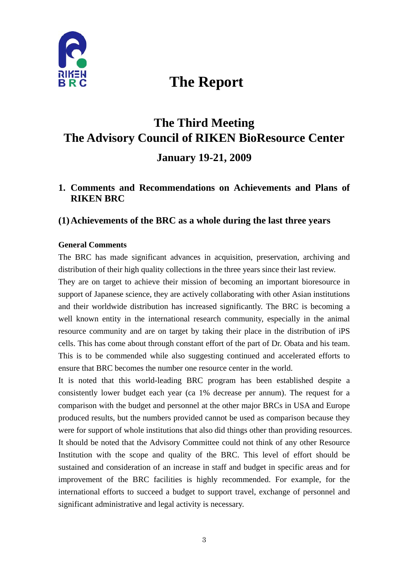

# **The Report**

# **The Third Meeting The Advisory Council of RIKEN BioResource Center January 19-21, 2009**

# **1. Comments and Recommendations on Achievements and Plans of RIKEN BRC**

# **(1)Achievements of the BRC as a whole during the last three years**

## **General Comments**

The BRC has made significant advances in acquisition, preservation, archiving and distribution of their high quality collections in the three years since their last review.

They are on target to achieve their mission of becoming an important bioresource in support of Japanese science, they are actively collaborating with other Asian institutions and their worldwide distribution has increased significantly. The BRC is becoming a well known entity in the international research community, especially in the animal resource community and are on target by taking their place in the distribution of iPS cells. This has come about through constant effort of the part of Dr. Obata and his team. This is to be commended while also suggesting continued and accelerated efforts to ensure that BRC becomes the number one resource center in the world.

It is noted that this world-leading BRC program has been established despite a consistently lower budget each year (ca 1% decrease per annum). The request for a comparison with the budget and personnel at the other major BRCs in USA and Europe produced results, but the numbers provided cannot be used as comparison because they were for support of whole institutions that also did things other than providing resources. It should be noted that the Advisory Committee could not think of any other Resource Institution with the scope and quality of the BRC. This level of effort should be sustained and consideration of an increase in staff and budget in specific areas and for improvement of the BRC facilities is highly recommended. For example, for the international efforts to succeed a budget to support travel, exchange of personnel and significant administrative and legal activity is necessary.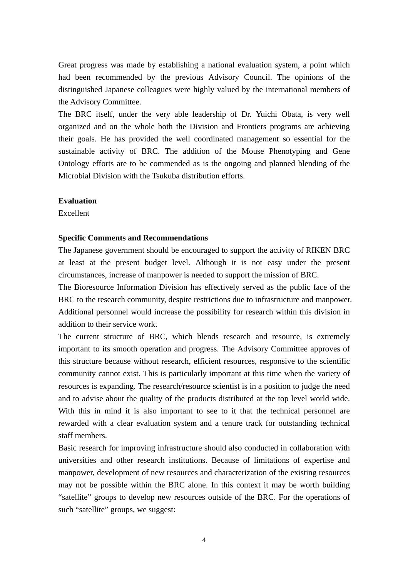Great progress was made by establishing a national evaluation system, a point which had been recommended by the previous Advisory Council. The opinions of the distinguished Japanese colleagues were highly valued by the international members of the Advisory Committee.

The BRC itself, under the very able leadership of Dr. Yuichi Obata, is very well organized and on the whole both the Division and Frontiers programs are achieving their goals. He has provided the well coordinated management so essential for the sustainable activity of BRC. The addition of the Mouse Phenotyping and Gene Ontology efforts are to be commended as is the ongoing and planned blending of the Microbial Division with the Tsukuba distribution efforts.

#### **Evaluation**

Excellent

#### **Specific Comments and Recommendations**

The Japanese government should be encouraged to support the activity of RIKEN BRC at least at the present budget level. Although it is not easy under the present circumstances, increase of manpower is needed to support the mission of BRC.

The Bioresource Information Division has effectively served as the public face of the BRC to the research community, despite restrictions due to infrastructure and manpower. Additional personnel would increase the possibility for research within this division in addition to their service work.

The current structure of BRC, which blends research and resource, is extremely important to its smooth operation and progress. The Advisory Committee approves of this structure because without research, efficient resources, responsive to the scientific community cannot exist. This is particularly important at this time when the variety of resources is expanding. The research/resource scientist is in a position to judge the need and to advise about the quality of the products distributed at the top level world wide. With this in mind it is also important to see to it that the technical personnel are rewarded with a clear evaluation system and a tenure track for outstanding technical staff members.

Basic research for improving infrastructure should also conducted in collaboration with universities and other research institutions. Because of limitations of expertise and manpower, development of new resources and characterization of the existing resources may not be possible within the BRC alone. In this context it may be worth building "satellite" groups to develop new resources outside of the BRC. For the operations of such "satellite" groups, we suggest: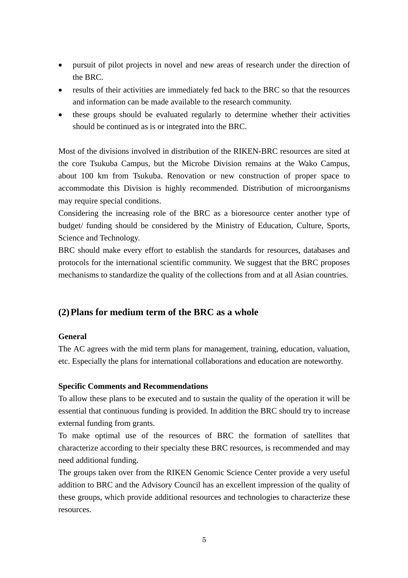- pursuit of pilot projects in novel and new areas of research under the direction of the BRC.
- results of their activities are immediately fed back to the BRC so that the resources and information can be made available to the research community.
- these groups should be evaluated regularly to determine whether their activities should be continued as is or integrated into the BRC.

Most of the divisions involved in distribution of the RIKEN-BRC resources are sited at the core Tsukuba Campus, but the Microbe Division remains at the Wako Campus, about 100 km from Tsukuba. Renovation or new construction of proper space to accommodate this Division is highly recommended. Distribution of microorganisms may require special conditions.

Considering the increasing role of the BRC as a bioresource center another type of budget/ funding should be considered by the Ministry of Education, Culture, Sports, Science and Technology.

BRC should make every effort to establish the standards for resources, databases and protocols for the international scientific community. We suggest that the BRC proposes mechanisms to standardize the quality of the collections from and at all Asian countries.

# **(2)Plans for medium term of the BRC as a whole**

## **General**

The AC agrees with the mid term plans for management, training, education, valuation, etc. Especially the plans for international collaborations and education are noteworthy.

## **Specific Comments and Recommendations**

To allow these plans to be executed and to sustain the quality of the operation it will be essential that continuous funding is provided. In addition the BRC should try to increase external funding from grants.

To make optimal use of the resources of BRC the formation of satellites that characterize according to their specialty these BRC resources, is recommended and may need additional funding.

The groups taken over from the RIKEN Genomic Science Center provide a very useful addition to BRC and the Advisory Council has an excellent impression of the quality of these groups, which provide additional resources and technologies to characterize these resources.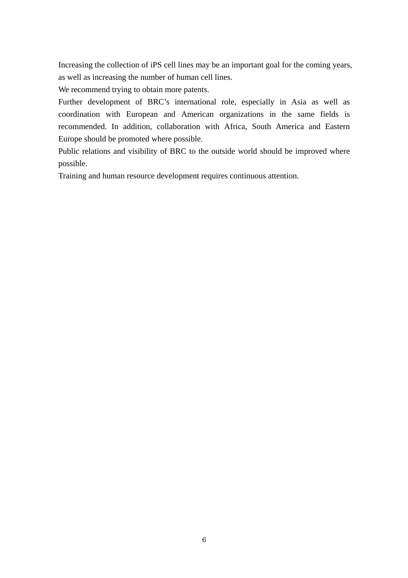Increasing the collection of iPS cell lines may be an important goal for the coming years, as well as increasing the number of human cell lines.

We recommend trying to obtain more patents.

Further development of BRC's international role, especially in Asia as well as coordination with European and American organizations in the same fields is recommended. In addition, collaboration with Africa, South America and Eastern Europe should be promoted where possible.

Public relations and visibility of BRC to the outside world should be improved where possible.

Training and human resource development requires continuous attention.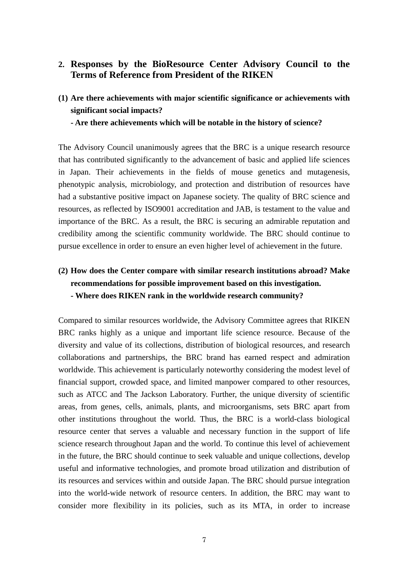# **2. Responses by the BioResource Center Advisory Council to the Terms of Reference from President of the RIKEN**

**(1) Are there achievements with major scientific significance or achievements with significant social impacts?** 

**- Are there achievements which will be notable in the history of science?** 

The Advisory Council unanimously agrees that the BRC is a unique research resource that has contributed significantly to the advancement of basic and applied life sciences in Japan. Their achievements in the fields of mouse genetics and mutagenesis, phenotypic analysis, microbiology, and protection and distribution of resources have had a substantive positive impact on Japanese society. The quality of BRC science and resources, as reflected by ISO9001 accreditation and JAB, is testament to the value and importance of the BRC. As a result, the BRC is securing an admirable reputation and credibility among the scientific community worldwide. The BRC should continue to pursue excellence in order to ensure an even higher level of achievement in the future.

# **(2) How does the Center compare with similar research institutions abroad? Make recommendations for possible improvement based on this investigation. - Where does RIKEN rank in the worldwide research community?**

Compared to similar resources worldwide, the Advisory Committee agrees that RIKEN BRC ranks highly as a unique and important life science resource. Because of the diversity and value of its collections, distribution of biological resources, and research collaborations and partnerships, the BRC brand has earned respect and admiration worldwide. This achievement is particularly noteworthy considering the modest level of financial support, crowded space, and limited manpower compared to other resources, such as ATCC and The Jackson Laboratory. Further, the unique diversity of scientific areas, from genes, cells, animals, plants, and microorganisms, sets BRC apart from other institutions throughout the world. Thus, the BRC is a world-class biological resource center that serves a valuable and necessary function in the support of life science research throughout Japan and the world. To continue this level of achievement in the future, the BRC should continue to seek valuable and unique collections, develop useful and informative technologies, and promote broad utilization and distribution of its resources and services within and outside Japan. The BRC should pursue integration into the world-wide network of resource centers. In addition, the BRC may want to consider more flexibility in its policies, such as its MTA, in order to increase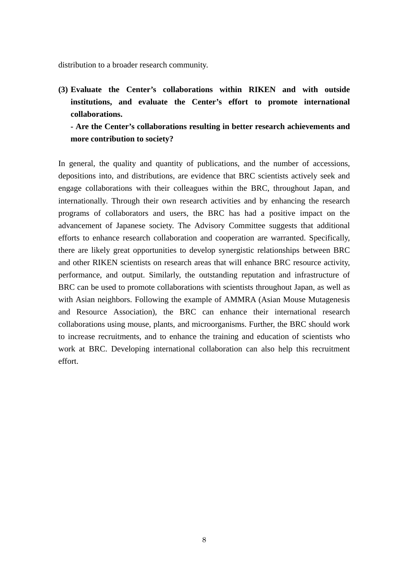distribution to a broader research community.

**(3) Evaluate the Center's collaborations within RIKEN and with outside institutions, and evaluate the Center's effort to promote international collaborations.** 

**- Are the Center's collaborations resulting in better research achievements and more contribution to society?** 

In general, the quality and quantity of publications, and the number of accessions, depositions into, and distributions, are evidence that BRC scientists actively seek and engage collaborations with their colleagues within the BRC, throughout Japan, and internationally. Through their own research activities and by enhancing the research programs of collaborators and users, the BRC has had a positive impact on the advancement of Japanese society. The Advisory Committee suggests that additional efforts to enhance research collaboration and cooperation are warranted. Specifically, there are likely great opportunities to develop synergistic relationships between BRC and other RIKEN scientists on research areas that will enhance BRC resource activity, performance, and output. Similarly, the outstanding reputation and infrastructure of BRC can be used to promote collaborations with scientists throughout Japan, as well as with Asian neighbors. Following the example of AMMRA (Asian Mouse Mutagenesis and Resource Association), the BRC can enhance their international research collaborations using mouse, plants, and microorganisms. Further, the BRC should work to increase recruitments, and to enhance the training and education of scientists who work at BRC. Developing international collaboration can also help this recruitment effort.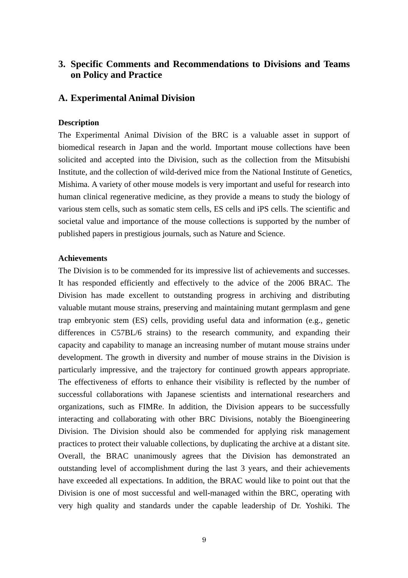# **3. Specific Comments and Recommendations to Divisions and Teams on Policy and Practice**

#### **A. Experimental Animal Division**

#### **Description**

The Experimental Animal Division of the BRC is a valuable asset in support of biomedical research in Japan and the world. Important mouse collections have been solicited and accepted into the Division, such as the collection from the Mitsubishi Institute, and the collection of wild-derived mice from the National Institute of Genetics, Mishima. A variety of other mouse models is very important and useful for research into human clinical regenerative medicine, as they provide a means to study the biology of various stem cells, such as somatic stem cells, ES cells and iPS cells. The scientific and societal value and importance of the mouse collections is supported by the number of published papers in prestigious journals, such as Nature and Science.

#### **Achievements**

The Division is to be commended for its impressive list of achievements and successes. It has responded efficiently and effectively to the advice of the 2006 BRAC. The Division has made excellent to outstanding progress in archiving and distributing valuable mutant mouse strains, preserving and maintaining mutant germplasm and gene trap embryonic stem (ES) cells, providing useful data and information (e.g., genetic differences in C57BL/6 strains) to the research community, and expanding their capacity and capability to manage an increasing number of mutant mouse strains under development. The growth in diversity and number of mouse strains in the Division is particularly impressive, and the trajectory for continued growth appears appropriate. The effectiveness of efforts to enhance their visibility is reflected by the number of successful collaborations with Japanese scientists and international researchers and organizations, such as FIMRe. In addition, the Division appears to be successfully interacting and collaborating with other BRC Divisions, notably the Bioengineering Division. The Division should also be commended for applying risk management practices to protect their valuable collections, by duplicating the archive at a distant site. Overall, the BRAC unanimously agrees that the Division has demonstrated an outstanding level of accomplishment during the last 3 years, and their achievements have exceeded all expectations. In addition, the BRAC would like to point out that the Division is one of most successful and well-managed within the BRC, operating with very high quality and standards under the capable leadership of Dr. Yoshiki. The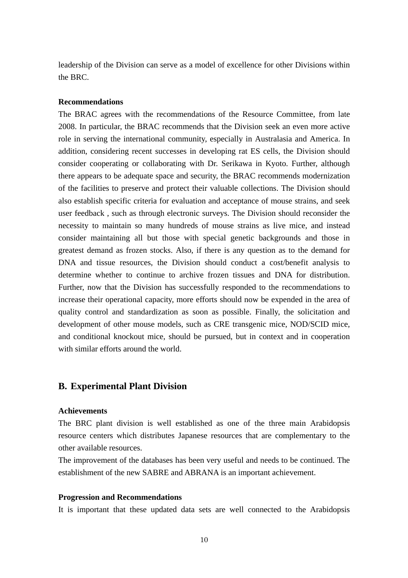leadership of the Division can serve as a model of excellence for other Divisions within the BRC.

#### **Recommendations**

The BRAC agrees with the recommendations of the Resource Committee, from late 2008. In particular, the BRAC recommends that the Division seek an even more active role in serving the international community, especially in Australasia and America. In addition, considering recent successes in developing rat ES cells, the Division should consider cooperating or collaborating with Dr. Serikawa in Kyoto. Further, although there appears to be adequate space and security, the BRAC recommends modernization of the facilities to preserve and protect their valuable collections. The Division should also establish specific criteria for evaluation and acceptance of mouse strains, and seek user feedback , such as through electronic surveys. The Division should reconsider the necessity to maintain so many hundreds of mouse strains as live mice, and instead consider maintaining all but those with special genetic backgrounds and those in greatest demand as frozen stocks. Also, if there is any question as to the demand for DNA and tissue resources, the Division should conduct a cost/benefit analysis to determine whether to continue to archive frozen tissues and DNA for distribution. Further, now that the Division has successfully responded to the recommendations to increase their operational capacity, more efforts should now be expended in the area of quality control and standardization as soon as possible. Finally, the solicitation and development of other mouse models, such as CRE transgenic mice, NOD/SCID mice, and conditional knockout mice, should be pursued, but in context and in cooperation with similar efforts around the world.

## **B. Experimental Plant Division**

## **Achievements**

The BRC plant division is well established as one of the three main Arabidopsis resource centers which distributes Japanese resources that are complementary to the other available resources.

The improvement of the databases has been very useful and needs to be continued. The establishment of the new SABRE and ABRANA is an important achievement.

#### **Progression and Recommendations**

It is important that these updated data sets are well connected to the Arabidopsis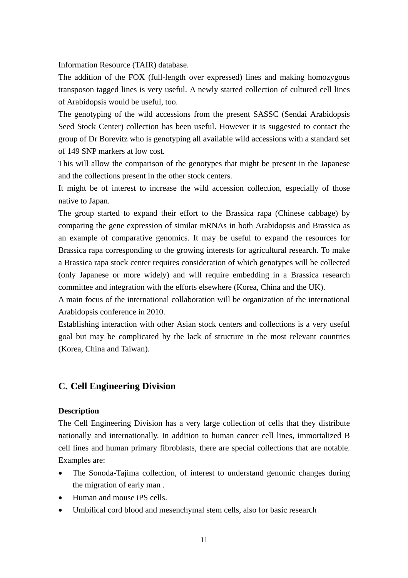Information Resource (TAIR) database.

The addition of the FOX (full-length over expressed) lines and making homozygous transposon tagged lines is very useful. A newly started collection of cultured cell lines of Arabidopsis would be useful, too.

The genotyping of the wild accessions from the present SASSC (Sendai Arabidopsis Seed Stock Center) collection has been useful. However it is suggested to contact the group of Dr Borevitz who is genotyping all available wild accessions with a standard set of 149 SNP markers at low cost.

This will allow the comparison of the genotypes that might be present in the Japanese and the collections present in the other stock centers.

It might be of interest to increase the wild accession collection, especially of those native to Japan.

The group started to expand their effort to the Brassica rapa (Chinese cabbage) by comparing the gene expression of similar mRNAs in both Arabidopsis and Brassica as an example of comparative genomics. It may be useful to expand the resources for Brassica rapa corresponding to the growing interests for agricultural research. To make a Brassica rapa stock center requires consideration of which genotypes will be collected (only Japanese or more widely) and will require embedding in a Brassica research committee and integration with the efforts elsewhere (Korea, China and the UK).

A main focus of the international collaboration will be organization of the international Arabidopsis conference in 2010.

Establishing interaction with other Asian stock centers and collections is a very useful goal but may be complicated by the lack of structure in the most relevant countries (Korea, China and Taiwan).

## **C. Cell Engineering Division**

#### **Description**

The Cell Engineering Division has a very large collection of cells that they distribute nationally and internationally. In addition to human cancer cell lines, immortalized B cell lines and human primary fibroblasts, there are special collections that are notable. Examples are:

- The Sonoda-Tajima collection, of interest to understand genomic changes during the migration of early man .
- Human and mouse iPS cells.
- Umbilical cord blood and mesenchymal stem cells, also for basic research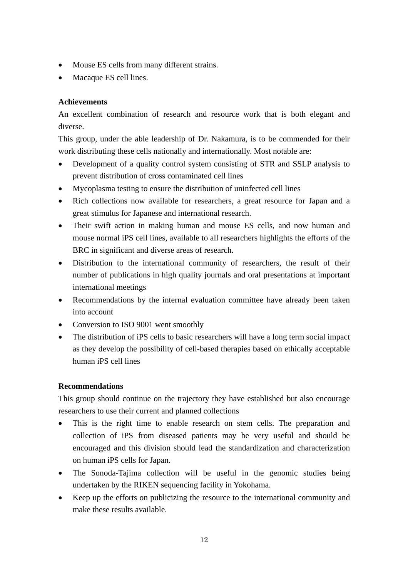- Mouse ES cells from many different strains.
- Macaque ES cell lines.

## **Achievements**

An excellent combination of research and resource work that is both elegant and diverse.

This group, under the able leadership of Dr. Nakamura, is to be commended for their work distributing these cells nationally and internationally. Most notable are:

- Development of a quality control system consisting of STR and SSLP analysis to prevent distribution of cross contaminated cell lines
- Mycoplasma testing to ensure the distribution of uninfected cell lines
- Rich collections now available for researchers, a great resource for Japan and a great stimulus for Japanese and international research.
- Their swift action in making human and mouse ES cells, and now human and mouse normal iPS cell lines, available to all researchers highlights the efforts of the BRC in significant and diverse areas of research.
- Distribution to the international community of researchers, the result of their number of publications in high quality journals and oral presentations at important international meetings
- Recommendations by the internal evaluation committee have already been taken into account
- Conversion to ISO 9001 went smoothly
- The distribution of iPS cells to basic researchers will have a long term social impact as they develop the possibility of cell-based therapies based on ethically acceptable human iPS cell lines

## **Recommendations**

This group should continue on the trajectory they have established but also encourage researchers to use their current and planned collections

- This is the right time to enable research on stem cells. The preparation and collection of iPS from diseased patients may be very useful and should be encouraged and this division should lead the standardization and characterization on human iPS cells for Japan.
- The Sonoda-Tajima collection will be useful in the genomic studies being undertaken by the RIKEN sequencing facility in Yokohama.
- Keep up the efforts on publicizing the resource to the international community and make these results available.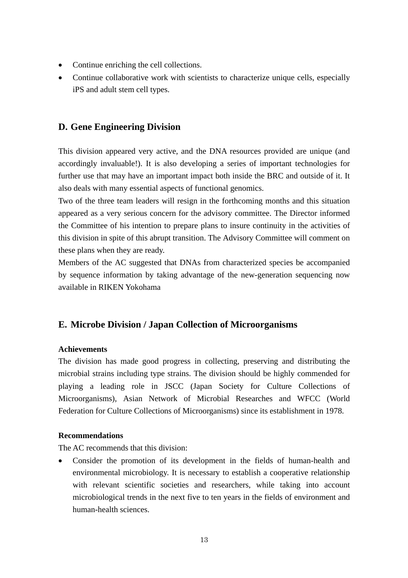- Continue enriching the cell collections.
- Continue collaborative work with scientists to characterize unique cells, especially iPS and adult stem cell types.

# **D. Gene Engineering Division**

This division appeared very active, and the DNA resources provided are unique (and accordingly invaluable!). It is also developing a series of important technologies for further use that may have an important impact both inside the BRC and outside of it. It also deals with many essential aspects of functional genomics.

Two of the three team leaders will resign in the forthcoming months and this situation appeared as a very serious concern for the advisory committee. The Director informed the Committee of his intention to prepare plans to insure continuity in the activities of this division in spite of this abrupt transition. The Advisory Committee will comment on these plans when they are ready.

Members of the AC suggested that DNAs from characterized species be accompanied by sequence information by taking advantage of the new-generation sequencing now available in RIKEN Yokohama

# **E. Microbe Division / Japan Collection of Microorganisms**

## **Achievements**

The division has made good progress in collecting, preserving and distributing the microbial strains including type strains. The division should be highly commended for playing a leading role in JSCC (Japan Society for Culture Collections of Microorganisms), Asian Network of Microbial Researches and WFCC (World Federation for Culture Collections of Microorganisms) since its establishment in 1978.

## **Recommendations**

The AC recommends that this division:

• Consider the promotion of its development in the fields of human-health and environmental microbiology. It is necessary to establish a cooperative relationship with relevant scientific societies and researchers, while taking into account microbiological trends in the next five to ten years in the fields of environment and human-health sciences.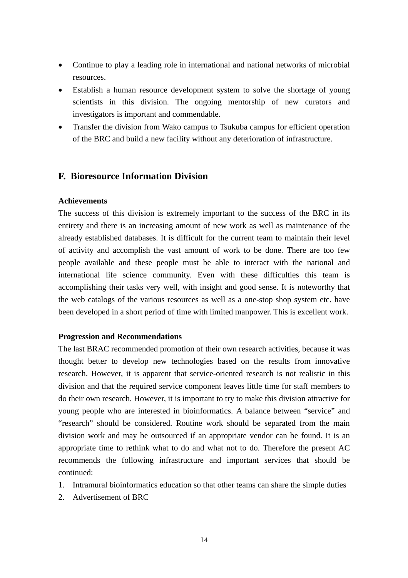- Continue to play a leading role in international and national networks of microbial resources.
- Establish a human resource development system to solve the shortage of young scientists in this division. The ongoing mentorship of new curators and investigators is important and commendable.
- Transfer the division from Wako campus to Tsukuba campus for efficient operation of the BRC and build a new facility without any deterioration of infrastructure.

# **F. Bioresource Information Division**

### **Achievements**

The success of this division is extremely important to the success of the BRC in its entirety and there is an increasing amount of new work as well as maintenance of the already established databases. It is difficult for the current team to maintain their level of activity and accomplish the vast amount of work to be done. There are too few people available and these people must be able to interact with the national and international life science community. Even with these difficulties this team is accomplishing their tasks very well, with insight and good sense. It is noteworthy that the web catalogs of the various resources as well as a one-stop shop system etc. have been developed in a short period of time with limited manpower. This is excellent work.

#### **Progression and Recommendations**

The last BRAC recommended promotion of their own research activities, because it was thought better to develop new technologies based on the results from innovative research. However, it is apparent that service-oriented research is not realistic in this division and that the required service component leaves little time for staff members to do their own research. However, it is important to try to make this division attractive for young people who are interested in bioinformatics. A balance between "service" and "research" should be considered. Routine work should be separated from the main division work and may be outsourced if an appropriate vendor can be found. It is an appropriate time to rethink what to do and what not to do. Therefore the present AC recommends the following infrastructure and important services that should be continued:

- 1. Intramural bioinformatics education so that other teams can share the simple duties
- 2. Advertisement of BRC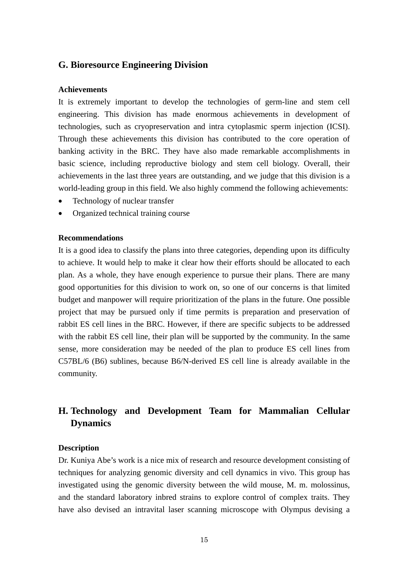## **G. Bioresource Engineering Division**

#### **Achievements**

It is extremely important to develop the technologies of germ-line and stem cell engineering. This division has made enormous achievements in development of technologies, such as cryopreservation and intra cytoplasmic sperm injection (ICSI). Through these achievements this division has contributed to the core operation of banking activity in the BRC. They have also made remarkable accomplishments in basic science, including reproductive biology and stem cell biology. Overall, their achievements in the last three years are outstanding, and we judge that this division is a world-leading group in this field. We also highly commend the following achievements:

- Technology of nuclear transfer
- Organized technical training course

#### **Recommendations**

It is a good idea to classify the plans into three categories, depending upon its difficulty to achieve. It would help to make it clear how their efforts should be allocated to each plan. As a whole, they have enough experience to pursue their plans. There are many good opportunities for this division to work on, so one of our concerns is that limited budget and manpower will require prioritization of the plans in the future. One possible project that may be pursued only if time permits is preparation and preservation of rabbit ES cell lines in the BRC. However, if there are specific subjects to be addressed with the rabbit ES cell line, their plan will be supported by the community. In the same sense, more consideration may be needed of the plan to produce ES cell lines from C57BL/6 (B6) sublines, because B6/N-derived ES cell line is already available in the community.

# **H. Technology and Development Team for Mammalian Cellular Dynamics**

#### **Description**

Dr. Kuniya Abe's work is a nice mix of research and resource development consisting of techniques for analyzing genomic diversity and cell dynamics in vivo. This group has investigated using the genomic diversity between the wild mouse, M. m. molossinus, and the standard laboratory inbred strains to explore control of complex traits. They have also devised an intravital laser scanning microscope with Olympus devising a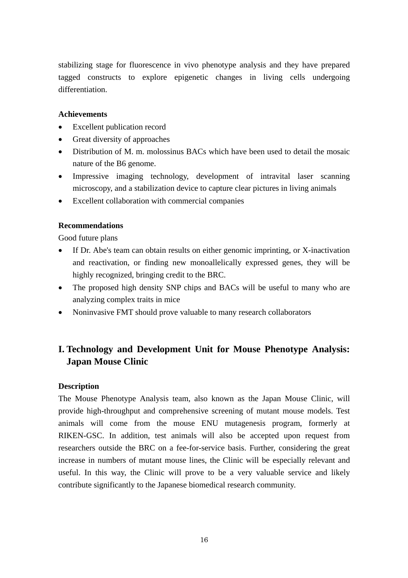stabilizing stage for fluorescence in vivo phenotype analysis and they have prepared tagged constructs to explore epigenetic changes in living cells undergoing differentiation.

### **Achievements**

- Excellent publication record
- Great diversity of approaches
- Distribution of M. m. molossinus BACs which have been used to detail the mosaic nature of the B6 genome.
- Impressive imaging technology, development of intravital laser scanning microscopy, and a stabilization device to capture clear pictures in living animals
- Excellent collaboration with commercial companies

## **Recommendations**

Good future plans

- If Dr. Abe's team can obtain results on either genomic imprinting, or X-inactivation and reactivation, or finding new monoallelically expressed genes, they will be highly recognized, bringing credit to the BRC.
- The proposed high density SNP chips and BACs will be useful to many who are analyzing complex traits in mice
- Noninvasive FMT should prove valuable to many research collaborators

# **I. Technology and Development Unit for Mouse Phenotype Analysis: Japan Mouse Clinic**

## **Description**

The Mouse Phenotype Analysis team, also known as the Japan Mouse Clinic, will provide high-throughput and comprehensive screening of mutant mouse models. Test animals will come from the mouse ENU mutagenesis program, formerly at RIKEN-GSC. In addition, test animals will also be accepted upon request from researchers outside the BRC on a fee-for-service basis. Further, considering the great increase in numbers of mutant mouse lines, the Clinic will be especially relevant and useful. In this way, the Clinic will prove to be a very valuable service and likely contribute significantly to the Japanese biomedical research community.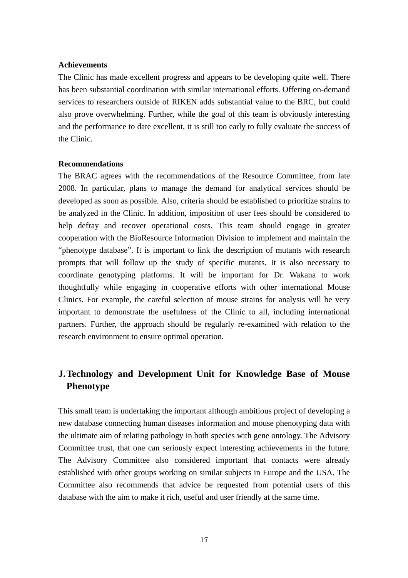#### **Achievements**

The Clinic has made excellent progress and appears to be developing quite well. There has been substantial coordination with similar international efforts. Offering on-demand services to researchers outside of RIKEN adds substantial value to the BRC, but could also prove overwhelming. Further, while the goal of this team is obviously interesting and the performance to date excellent, it is still too early to fully evaluate the success of the Clinic.

#### **Recommendations**

The BRAC agrees with the recommendations of the Resource Committee, from late 2008. In particular, plans to manage the demand for analytical services should be developed as soon as possible. Also, criteria should be established to prioritize strains to be analyzed in the Clinic. In addition, imposition of user fees should be considered to help defray and recover operational costs. This team should engage in greater cooperation with the BioResource Information Division to implement and maintain the "phenotype database". It is important to link the description of mutants with research prompts that will follow up the study of specific mutants. It is also necessary to coordinate genotyping platforms. It will be important for Dr. Wakana to work thoughtfully while engaging in cooperative efforts with other international Mouse Clinics. For example, the careful selection of mouse strains for analysis will be very important to demonstrate the usefulness of the Clinic to all, including international partners. Further, the approach should be regularly re-examined with relation to the research environment to ensure optimal operation.

# **J. Technology and Development Unit for Knowledge Base of Mouse Phenotype**

This small team is undertaking the important although ambitious project of developing a new database connecting human diseases information and mouse phenotyping data with the ultimate aim of relating pathology in both species with gene ontology. The Advisory Committee trust, that one can seriously expect interesting achievements in the future. The Advisory Committee also considered important that contacts were already established with other groups working on similar subjects in Europe and the USA. The Committee also recommends that advice be requested from potential users of this database with the aim to make it rich, useful and user friendly at the same time.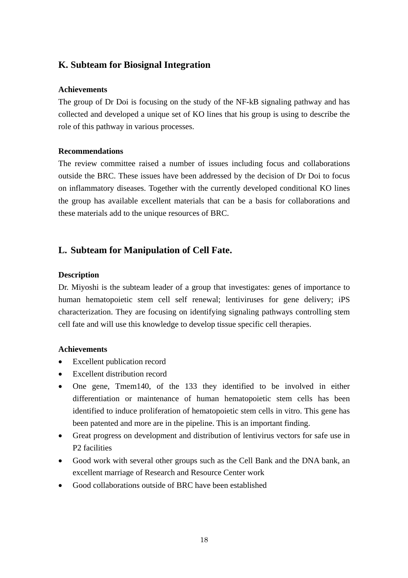# **K. Subteam for Biosignal Integration**

### **Achievements**

The group of Dr Doi is focusing on the study of the NF-kB signaling pathway and has collected and developed a unique set of KO lines that his group is using to describe the role of this pathway in various processes.

### **Recommendations**

The review committee raised a number of issues including focus and collaborations outside the BRC. These issues have been addressed by the decision of Dr Doi to focus on inflammatory diseases. Together with the currently developed conditional KO lines the group has available excellent materials that can be a basis for collaborations and these materials add to the unique resources of BRC.

# **L. Subteam for Manipulation of Cell Fate.**

### **Description**

Dr. Miyoshi is the subteam leader of a group that investigates: genes of importance to human hematopoietic stem cell self renewal; lentiviruses for gene delivery; iPS characterization. They are focusing on identifying signaling pathways controlling stem cell fate and will use this knowledge to develop tissue specific cell therapies.

#### **Achievements**

- Excellent publication record
- Excellent distribution record
- One gene, Tmem140, of the 133 they identified to be involved in either differentiation or maintenance of human hematopoietic stem cells has been identified to induce proliferation of hematopoietic stem cells in vitro. This gene has been patented and more are in the pipeline. This is an important finding.
- Great progress on development and distribution of lentivirus vectors for safe use in P2 facilities
- Good work with several other groups such as the Cell Bank and the DNA bank, an excellent marriage of Research and Resource Center work
- Good collaborations outside of BRC have been established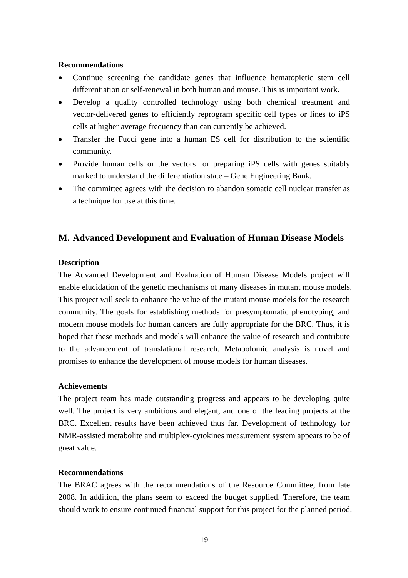#### **Recommendations**

- Continue screening the candidate genes that influence hematopietic stem cell differentiation or self-renewal in both human and mouse. This is important work.
- Develop a quality controlled technology using both chemical treatment and vector-delivered genes to efficiently reprogram specific cell types or lines to iPS cells at higher average frequency than can currently be achieved.
- Transfer the Fucci gene into a human ES cell for distribution to the scientific community.
- Provide human cells or the vectors for preparing iPS cells with genes suitably marked to understand the differentiation state – Gene Engineering Bank.
- The committee agrees with the decision to abandon somatic cell nuclear transfer as a technique for use at this time.

# **M. Advanced Development and Evaluation of Human Disease Models**

#### **Description**

The Advanced Development and Evaluation of Human Disease Models project will enable elucidation of the genetic mechanisms of many diseases in mutant mouse models. This project will seek to enhance the value of the mutant mouse models for the research community. The goals for establishing methods for presymptomatic phenotyping, and modern mouse models for human cancers are fully appropriate for the BRC. Thus, it is hoped that these methods and models will enhance the value of research and contribute to the advancement of translational research. Metabolomic analysis is novel and promises to enhance the development of mouse models for human diseases.

## **Achievements**

The project team has made outstanding progress and appears to be developing quite well. The project is very ambitious and elegant, and one of the leading projects at the BRC. Excellent results have been achieved thus far. Development of technology for NMR-assisted metabolite and multiplex-cytokines measurement system appears to be of great value.

#### **Recommendations**

The BRAC agrees with the recommendations of the Resource Committee, from late 2008. In addition, the plans seem to exceed the budget supplied. Therefore, the team should work to ensure continued financial support for this project for the planned period.